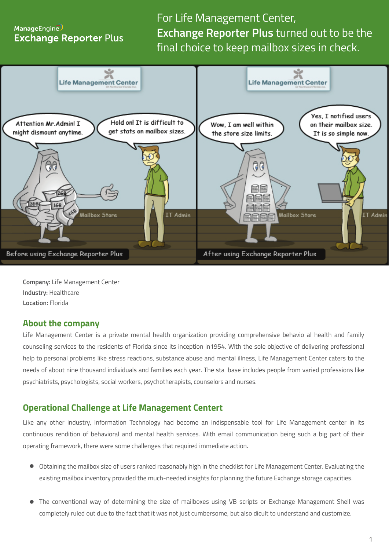# ManageEngine **Exchange Reporter Plus**

For Life Management Center, **Exchange Reporter Plus** turned out to be the final choice to keep mailbox sizes in check.



**Company:** Life Management Center **Industry:** Healthcare **Location:** Florida

#### **About the company**

Life Management Center is a private mental health organization providing comprehensive behavio al health and family counseling services to the residents of Florida since its inception in1954. With the sole objective of delivering professional help to personal problems like stress reactions, substance abuse and mental illness, Life Management Center caters to the needs of about nine thousand individuals and families each year. The sta base includes people from varied professions like psychiatrists, psychologists, social workers, psychotherapists, counselors and nurses.

## **Operational Challenge at Life Management Centert**

Like any other industry, Information Technology had become an indispensable tool for Life Management center in its continuous rendition of behavioral and mental health services. With email communication being such a big part of their operating framework, there were some challenges that required immediate action.

- Obtaining the mailbox size of users ranked reasonably high in the checklist for Life Management Center. Evaluating the existing mailbox inventory provided the much-needed insights for planning the future Exchange storage capacities.
- The conventional way of determining the size of mailboxes using VB scripts or Exchange Management Shell was completely ruled out due to the fact that it was not just cumbersome, but also di�cult to understand and customize.